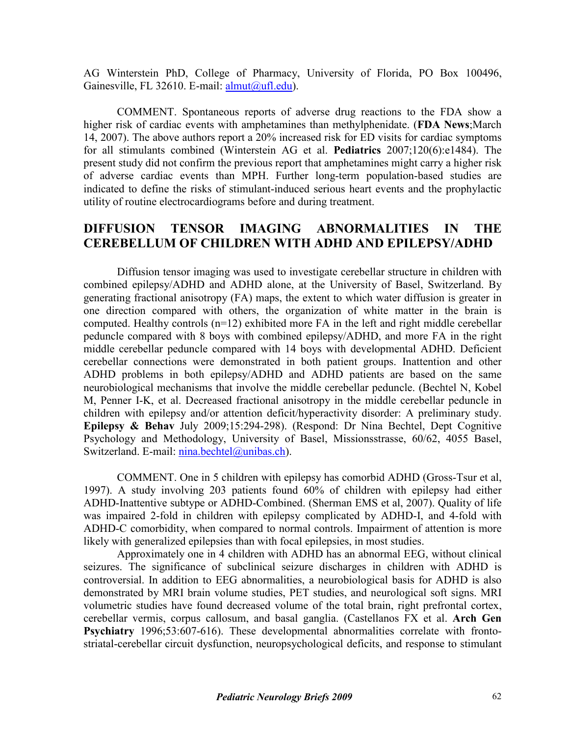AG Winterstein PhD, College of Pharmacy, University of Florida, PO Box 100496, Gainesville, FL 32610. E-mail: [almut@ufl.edu\)](mailto:almut@ufl.edu).

COMMENT. Spontaneous reports of adverse drug reactions to the FDA show a higher risk of cardiac events with amphetamines than methylphenidate. (**FDA News**;March 14, 2007). The above authors report a 20% increased risk for ED visits for cardiac symptoms for all stimulants combined (Winterstein AG et al. **Pediatrics** 2007;120(6):e1484). The present study did not confirm the previous report that amphetamines might carry a higher risk of adverse cardiac events than MPH. Further long-term population-based studies are indicated to define the risks of stimulant-induced serious heart events and the prophylactic utility of routine electrocardiograms before and during treatment.

## **DIFFUSION TENSOR IMAGING ABNORMALITIES IN THE CEREBELLUM OF CHILDREN WITH ADHD AND EPILEPSY/ADHD**

Diffusion tensor imaging was used to investigate cerebellar structure in children with combined epilepsy/ADHD and ADHD alone, at the University of Basel, Switzerland. By generating fractional anisotropy (FA) maps, the extent to which water diffusion is greater in one direction compared with others, the organization of white matter in the brain is computed. Healthy controls  $(n=12)$  exhibited more FA in the left and right middle cerebellar peduncle compared with 8 boys with combined epilepsy/ADHD, and more FA in the right middle cerebellar peduncle compared with 14 boys with developmental ADHD. Deficient cerebellar connections were demonstrated in both patient groups. Inattention and other ADHD problems in both epilepsy/ADHD and ADHD patients are based on the same neurobiological mechanisms that involve the middle cerebellar peduncle. (Bechtel N, Kobel M, Penner I-K, et al. Decreased fractional anisotropy in the middle cerebellar peduncle in children with epilepsy and/or attention deficit/hyperactivity disorder: A preliminary study. **Epilepsy & Behav** July 2009;15:294-298). (Respond: Dr Nina Bechtel, Dept Cognitive Psychology and Methodology, University of Basel, Missionsstrasse, 60/62, 4055 Basel, Switzerland. E-mail: [nina.bechtel@unibas.ch\)](mailto:nina.bechtel@unibas.ch).

COMMENT. One in 5 children with epilepsy has comorbid ADHD (Gross-Tsur et al, 1997). A study involving 203 patients found 60% of children with epilepsy had either ADHD-Inattentive subtype or ADHD-Combined. (Sherman EMS et al, 2007). Quality of life was impaired 2-fold in children with epilepsy complicated by ADHD-I, and 4-fold with ADHD-C comorbidity, when compared to normal controls. Impairment of attention is more likely with generalized epilepsies than with focal epilepsies, in most studies.

Approximately one in 4 children with ADHD has an abnormal EEG, without clinical seizures. The significance of subclinical seizure discharges in children with ADHD is controversial. In addition to EEG abnormalities, a neurobiological basis for ADHD is also demonstrated by MRI brain volume studies, PET studies, and neurological soft signs. MRI volumetric studies have found decreased volume of the total brain, right prefrontal cortex, cerebellar vermis, corpus callosum, and basal ganglia. (Castellanos FX et al. **Arch Gen Psychiatry** 1996;53:607-616). These developmental abnormalities correlate with frontostriatal-cerebellar circuit dysfunction, neuropsychological deficits, and response to stimulant